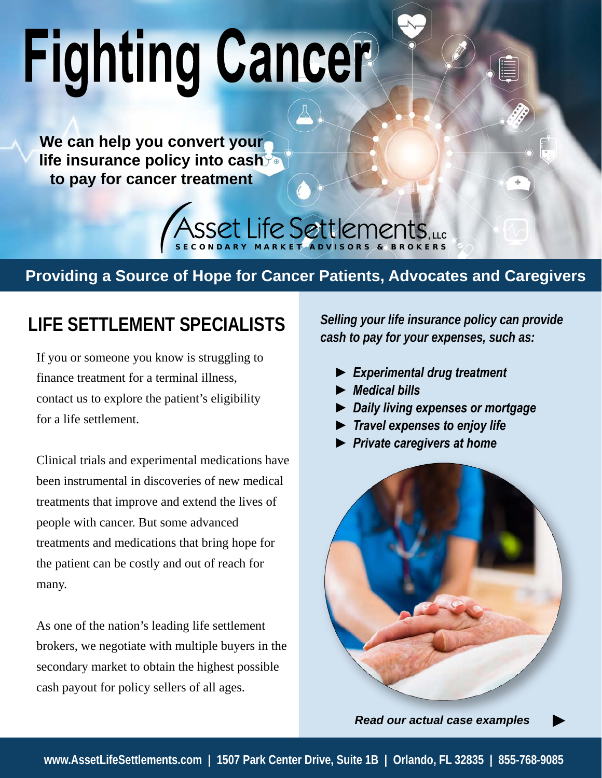# **Fighting Cancer**

**We can help you convert your life insurance policy into cash to pay for cancer treatment**



### **Providing a Source of Hope for Cancer Patients, Advocates and Caregivers**

## **LIFE SETTLEMENT SPECIALISTS** *Selling your life insurance policy can provide*

If you or someone you know is struggling to finance treatment for a terminal illness, contact us to explore the patient's eligibility for a life settlement.

Clinical trials and experimental medications have been instrumental in discoveries of new medical treatments that improve and extend the lives of people with cancer. But some advanced treatments and medications that bring hope for the patient can be costly and out of reach for many.

As one of the nation's leading life settlement brokers, we negotiate with multiple buyers in the secondary market to obtain the highest possible cash payout for policy sellers of all ages.

*cash to pay for your expenses, such as:*

- *► Experimental drug treatment*
- *► Medical bills*
- *► Daily living expenses or mortgage*
- *► Travel expenses to enjoy life*
- *► Private caregivers at home*



*Read our actual case examples*